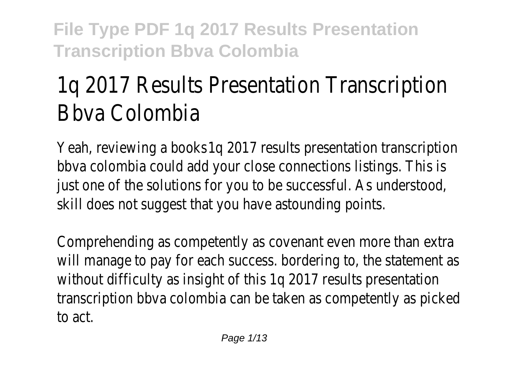# 1q 2017 Results Presentation Transcription Bbva Colombia

Yeah, reviewing a books 1q 2017 results presentation transcription bbva colombia could add your close connections listings. This is just one of the solutions for you to be successful. As understood, skill does not suggest that you have astounding points.

Comprehending as competently as covenant even more than extra will manage to pay for each success. bordering to, the statement as without difficulty as insight of this 1q 2017 results presentation transcription bbva colombia can be taken as competently as picked to act.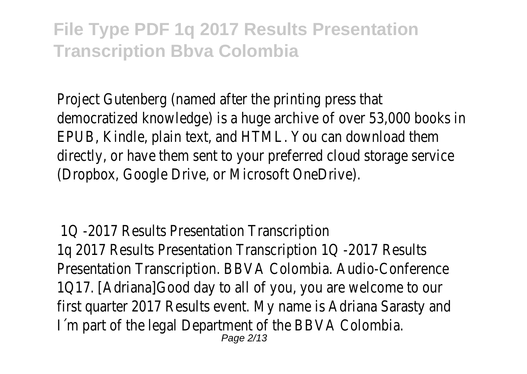Project Gutenberg (named after the printing press that democratized knowledge) is a huge archive of over 53,000 books in EPUB, Kindle, plain text, and HTML. You can download them directly, or have them sent to your preferred cloud storage service (Dropbox, Google Drive, or Microsoft OneDrive).

1Q -2017 Results Presentation Transcription 1q 2017 Results Presentation Transcription 1Q -2017 Results Presentation Transcription. BBVA Colombia. Audio-Conference 1Q17. [Adriana]Good day to all of you, you are welcome to our first quarter 2017 Results event. My name is Adriana Sarasty and I´m part of the legal Department of the BBVA Colombia. Page 2/13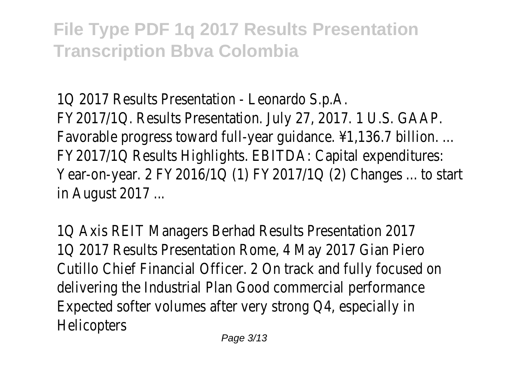1Q 2017 Results Presentation - Leonardo S.p.A. FY2017/1Q. Results Presentation. July 27, 2017. 1 U.S. GAAP. Favorable progress toward full-year guidance. ¥1,136.7 billion. ... FY2017/1Q Results Highlights. EBITDA: Capital expenditures: Year-on-year. 2 FY2016/1Q (1) FY2017/1Q (2) Changes ... to start in August 2017 ...

1Q Axis REIT Managers Berhad Results Presentation 2017 1Q 2017 Results Presentation Rome, 4 May 2017 Gian Piero Cutillo Chief Financial Officer. 2 On track and fully focused on delivering the Industrial Plan Good commercial performance Expected softer volumes after very strong Q4, especially in **Helicopters**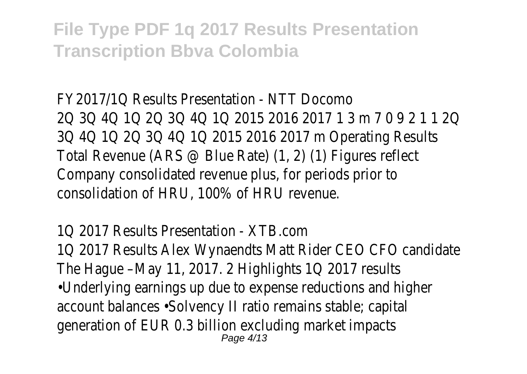FY2017/1Q Results Presentation - NTT Docomo 2Q 3Q 4Q 1Q 2Q 3Q 4Q 1Q 2015 2016 2017 1 3 m 7 0 9 2 1 1 2Q 3Q 4Q 1Q 2Q 3Q 4Q 1Q 2015 2016 2017 m Operating Results Total Revenue (ARS @ Blue Rate) (1, 2) (1) Figures reflect Company consolidated revenue plus, for periods prior to consolidation of HRU, 100% of HRU revenue.

1Q 2017 Results Presentation - XTB.com 1Q 2017 Results Alex Wynaendts Matt Rider CEO CFO candidate The Hague –May 11, 2017. 2 Highlights 1Q 2017 results •Underlying earnings up due to expense reductions and higher account balances •Solvency II ratio remains stable; capital generation of EUR 0.3 billion excluding market impacts Page 4/13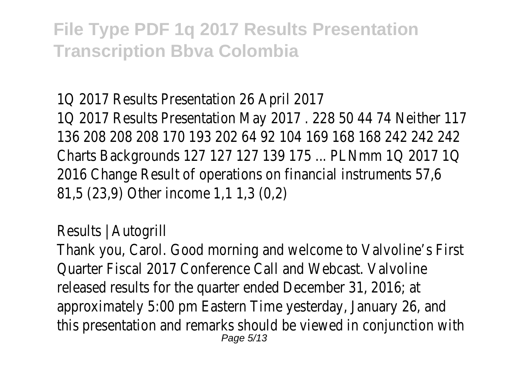1Q 2017 Results Presentation 26 April 2017 1Q 2017 Results Presentation May 2017 . 228 50 44 74 Neither 117 136 208 208 208 170 193 202 64 92 104 169 168 168 242 242 242 Charts Backgrounds 127 127 127 139 175 ... PLNmm 1Q 2017 1Q 2016 Change Result of operations on financial instruments 57,6 81,5 (23,9) Other income 1,1 1,3 (0,2)

Results | Autogrill

Thank you, Carol. Good morning and welcome to Valvoline's First Quarter Fiscal 2017 Conference Call and Webcast. Valvoline released results for the quarter ended December 31, 2016; at approximately 5:00 pm Eastern Time yesterday, January 26, and this presentation and remarks should be viewed in conjunction with Page 5/13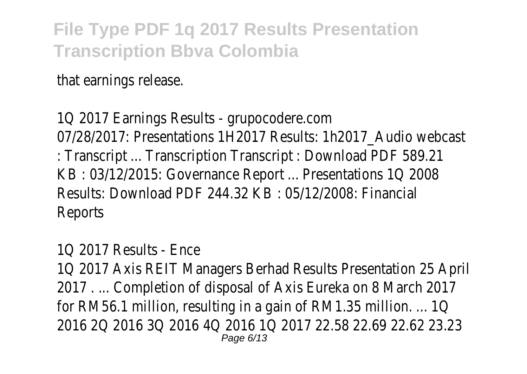that earnings release.

1Q 2017 Earnings Results - grupocodere.com 07/28/2017: Presentations 1H2017 Results: 1h2017\_Audio webcast : Transcript ... Transcription Transcript : Download PDF 589.21 KB : 03/12/2015: Governance Report ... Presentations 1Q 2008 Results: Download PDF 244.32 KB : 05/12/2008: Financial Reports

1Q 2017 Results - Ence

1Q 2017 Axis REIT Managers Berhad Results Presentation 25 April 2017 . ... Completion of disposal of Axis Eureka on 8 March 2017 for RM56.1 million, resulting in a gain of RM1.35 million. ... 1Q 2016 2Q 2016 3Q 2016 4Q 2016 1Q 2017 22.58 22.69 22.62 23.23 Page 6/13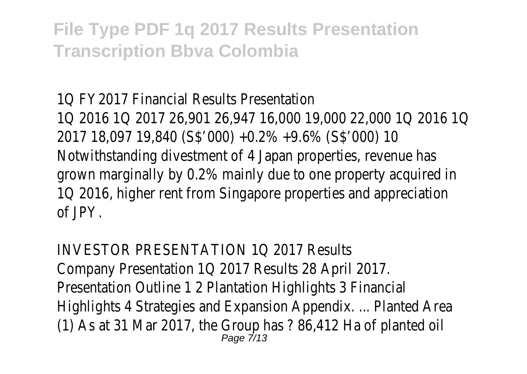1Q FY2017 Financial Results Presentation 1Q 2016 1Q 2017 26,901 26,947 16,000 19,000 22,000 1Q 2016 1Q 2017 18,097 19,840 (S\$'000) +0.2% +9.6% (S\$'000) 10 Notwithstanding divestment of 4 Japan properties, revenue has grown marginally by 0.2% mainly due to one property acquired in 1Q 2016, higher rent from Singapore properties and appreciation of JPY.

INVESTOR PRESENTATION 1Q 2017 Results Company Presentation 1Q 2017 Results 28 April 2017. Presentation Outline 1 2 Plantation Highlights 3 Financial Highlights 4 Strategies and Expansion Appendix. ... Planted Area (1) As at 31 Mar 2017, the Group has ? 86,412 Ha of planted oil Page 7/13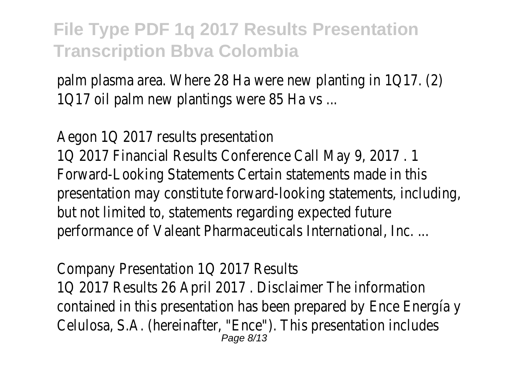palm plasma area. Where 28 Ha were new planting in 1Q17. (2) 1Q17 oil palm new plantings were 85 Ha vs ...

Aegon 1Q 2017 results presentation 1Q 2017 Financial Results Conference Call May 9, 2017 . 1 Forward-Looking Statements Certain statements made in this presentation may constitute forward-looking statements, including, but not limited to, statements regarding expected future performance of Valeant Pharmaceuticals International, Inc. ...

Company Presentation 1Q 2017 Results 1Q 2017 Results 26 April 2017 . Disclaimer The information contained in this presentation has been prepared by Ence Energía y Celulosa, S.A. (hereinafter, "Ence"). This presentation includes Page 8/13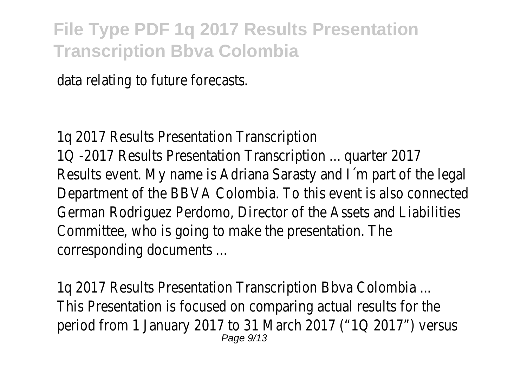data relating to future forecasts.

1q 2017 Results Presentation Transcription 1Q -2017 Results Presentation Transcription ... quarter 2017 Results event. My name is Adriana Sarasty and I´m part of the legal Department of the BBVA Colombia. To this event is also connected German Rodriguez Perdomo, Director of the Assets and Liabilities Committee, who is going to make the presentation. The corresponding documents ...

1q 2017 Results Presentation Transcription Bbva Colombia ... This Presentation is focused on comparing actual results for the period from 1 January 2017 to 31 March 2017 ("1Q 2017") versus Page 9/13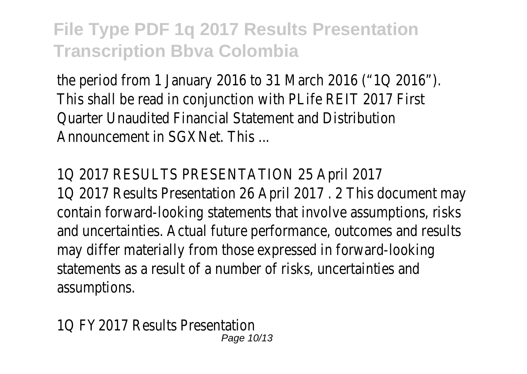the period from 1 January 2016 to 31 March 2016 ("1Q 2016"). This shall be read in conjunction with PLife REIT 2017 First Quarter Unaudited Financial Statement and Distribution Announcement in SGXNet. This ...

#### 1Q 2017 RESULTS PRESENTATION 25 April 2017

1Q 2017 Results Presentation 26 April 2017 . 2 This document may contain forward-looking statements that involve assumptions, risks and uncertainties. Actual future performance, outcomes and results may differ materially from those expressed in forward-looking statements as a result of a number of risks, uncertainties and assumptions.

1Q FY2017 Results Presentation Page 10/13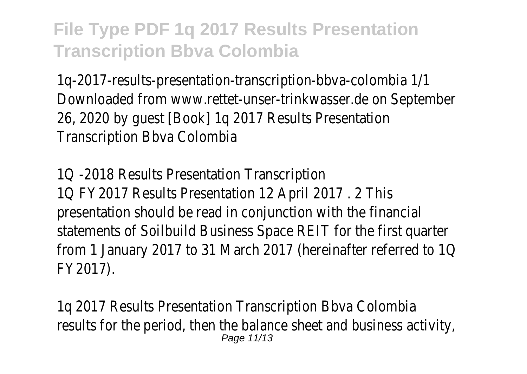1q-2017-results-presentation-transcription-bbva-colombia 1/1 Downloaded from www.rettet-unser-trinkwasser.de on September 26, 2020 by guest [Book] 1q 2017 Results Presentation Transcription Bbva Colombia

1Q -2018 Results Presentation Transcription 1Q FY2017 Results Presentation 12 April 2017 . 2 This presentation should be read in conjunction with the financial statements of Soilbuild Business Space REIT for the first quarter from 1 January 2017 to 31 March 2017 (hereinafter referred to 1Q FY2017).

1q 2017 Results Presentation Transcription Bbva Colombia results for the period, then the balance sheet and business activity, Page 11/13